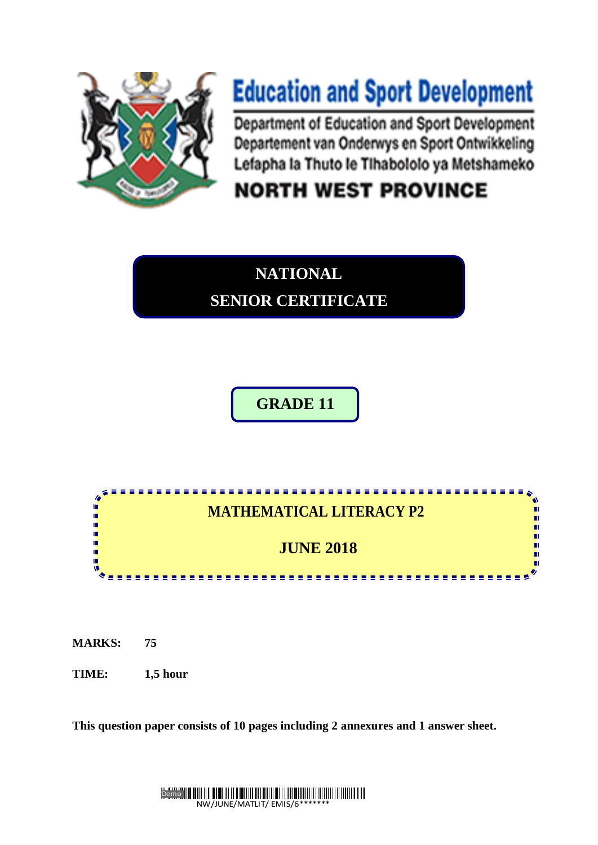

**NATIONAL Department or Equipment** Lefapha la Thuto le Tihabololo ya Metshameko

# **NORTH WEST PROVINCE**

# **NATIONAL**

**SENIOR CERTIFICATE**

# **GRADE 11**



**MARKS: 75**

**TIME: 1,5 hour** 

**This question paper consists of 10 pages including 2 annexures and 1 answer sheet.**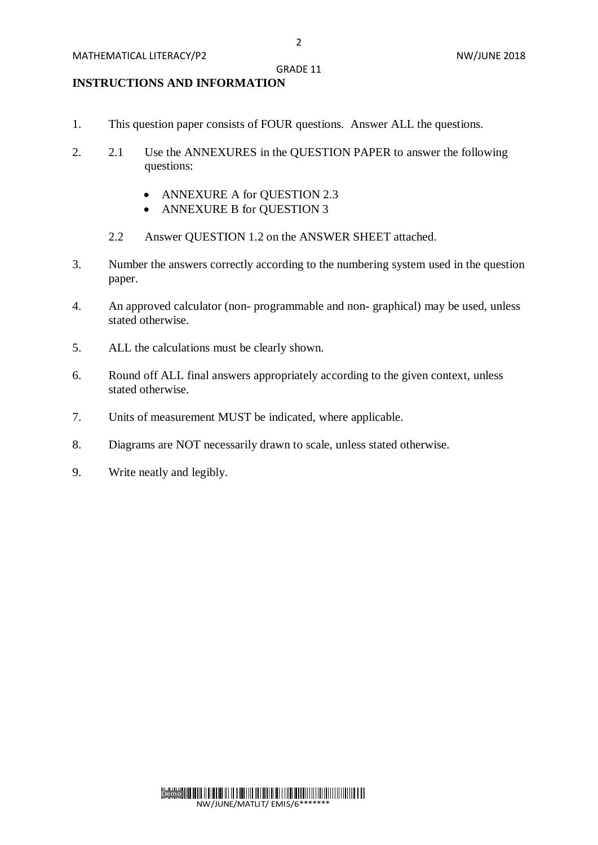# GRADE 11

# **INSTRUCTIONS AND INFORMATION**

- 1. This question paper consists of FOUR questions. Answer ALL the questions.
- 2. 2.1 Use the ANNEXURES in the QUESTION PAPER to answer the following questions:
	- ANNEXURE A for QUESTION 2.3
	- ANNEXURE B for QUESTION 3
	- 2.2 Answer QUESTION 1.2 on the ANSWER SHEET attached.
- 3. Number the answers correctly according to the numbering system used in the question paper.
- 4. An approved calculator (non- programmable and non- graphical) may be used, unless stated otherwise.
- 5. ALL the calculations must be clearly shown.
- 6. Round off ALL final answers appropriately according to the given context, unless stated otherwise.
- 7. Units of measurement MUST be indicated, where applicable.
- 8. Diagrams are NOT necessarily drawn to scale, unless stated otherwise.
- 9. Write neatly and legibly.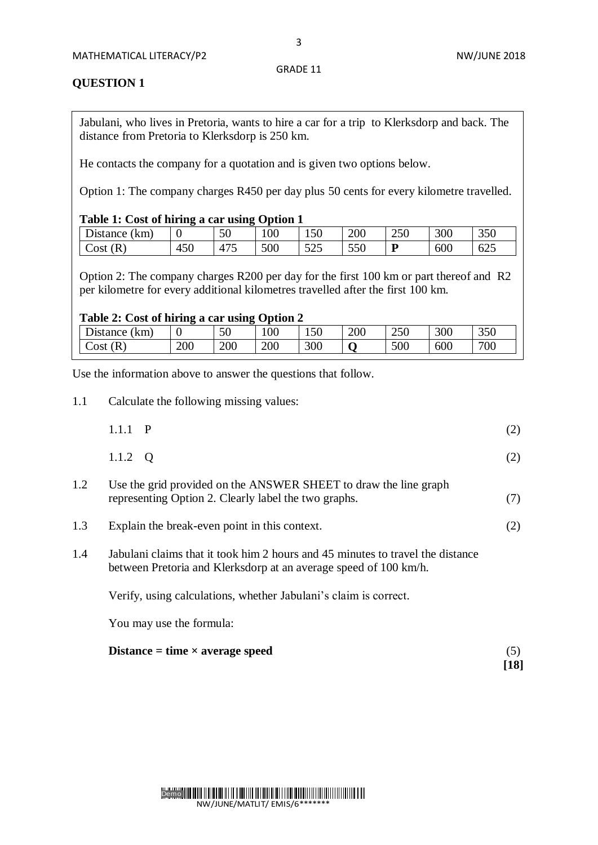3

# **QUESTION 1**

Jabulani, who lives in Pretoria, wants to hire a car for a trip to Klerksdorp and back. The distance from Pretoria to Klerksdorp is 250 km.

He contacts the company for a quotation and is given two options below.

Option 1: The company charges R450 per day plus 50 cents for every kilometre travelled.

## **Table 1: Cost of hiring a car using Option 1**

| $D$ istance $\ell$<br>(km) |     | 50  | 00  | 150          | 200 | 250 | 300 | 350 |
|----------------------------|-----|-----|-----|--------------|-----|-----|-----|-----|
| Cost<br>R                  | 450 | 475 | 500 | よつよ<br>ر ے ر | 550 | D   | 600 | 625 |

Option 2: The company charges R200 per day for the first 100 km or part thereof and R2 per kilometre for every additional kilometres travelled after the first 100 km.

### **Table 2: Cost of hiring a car using Option 2**

| km<br><b>J</b> istance | ◡   | 50  | 00  | 150 | 200 | 250 | 300 | 350 |
|------------------------|-----|-----|-----|-----|-----|-----|-----|-----|
| $\mathcal{R}$<br>Cost  | 200 | 200 | 200 | 300 |     | 500 | 600 | 700 |

Use the information above to answer the questions that follow.

1.1 Calculate the following missing values:

| $1.1.1$ P | (2) |
|-----------|-----|
| 1.1.2 $Q$ | (2) |

- 1.2 Use the grid provided on the ANSWER SHEET to draw the line graph representing Option 2. Clearly label the two graphs. (7)
- 1.3 Explain the break-even point in this context. (2)
- 1.4 Jabulani claims that it took him 2 hours and 45 minutes to travel the distance between Pretoria and Klerksdorp at an average speed of 100 km/h.

Verify, using calculations, whether Jabulani's claim is correct.

You may use the formula:

#### **Distance = time × average speed** (5)

**[18]**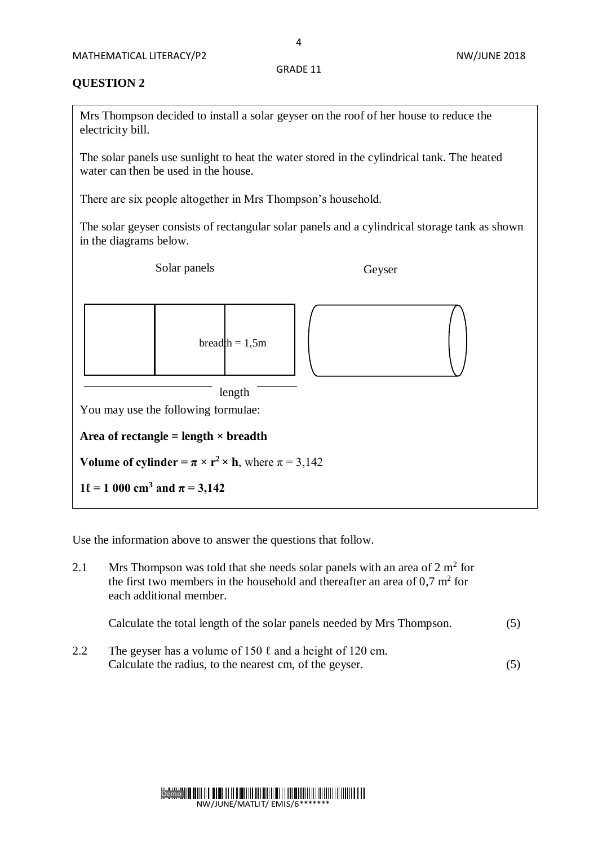4

# **QUESTION 2**

Mrs Thompson decided to install a solar geyser on the roof of her house to reduce the electricity bill.

The solar panels use sunlight to heat the water stored in the cylindrical tank. The heated water can then be used in the house.

There are six people altogether in Mrs Thompson's household.

The solar geyser consists of rectangular solar panels and a cylindrical storage tank as shown in the diagrams below.

Solar panels Geyser



Use the information above to answer the questions that follow.

| 2.1 | Mrs Thompson was told that she needs solar panels with an area of $2 \text{ m}^2$ for<br>the first two members in the household and thereafter an area of $0.7 \text{ m}^2$ for<br>each additional member. |     |  |  |  |
|-----|------------------------------------------------------------------------------------------------------------------------------------------------------------------------------------------------------------|-----|--|--|--|
|     | Calculate the total length of the solar panels needed by Mrs Thompson.                                                                                                                                     | (5) |  |  |  |
| 2.2 | The geyser has a volume of 150 $\ell$ and a height of 120 cm.                                                                                                                                              |     |  |  |  |

Calculate the radius, to the nearest cm, of the geyser. (5)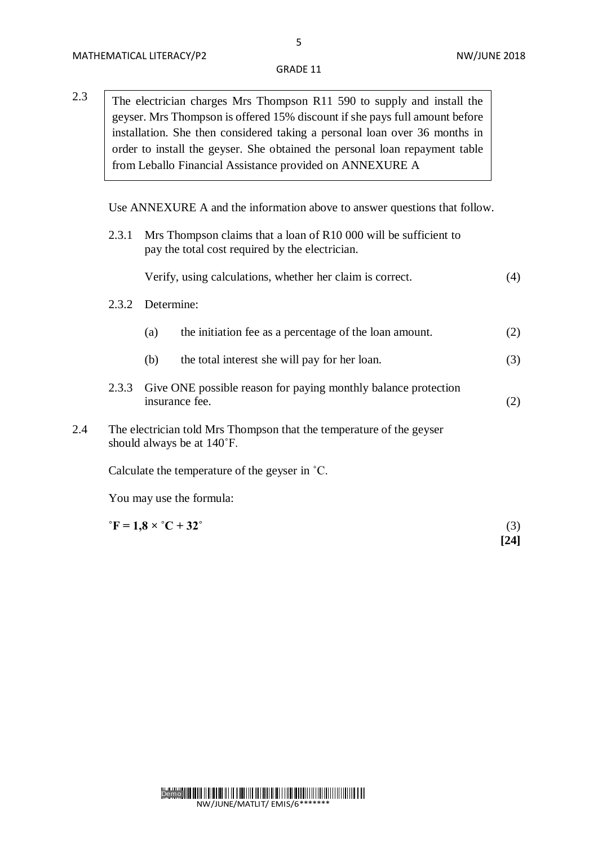2.3 The electrician charges Mrs Thompson R11 590 to supply and install the geyser. Mrs Thompson is offered 15% discount if she pays full amount before installation. She then considered taking a personal loan over 36 months in order to install the geyser. She obtained the personal loan repayment table from Leballo Financial Assistance provided on ANNEXURE A

Use ANNEXURE A and the information above to answer questions that follow.

2.3.1 Mrs Thompson claims that a loan of R10 000 will be sufficient to pay the total cost required by the electrician.

- 2.3.2 Determine:
	- (a) the initiation fee as a percentage of the loan amount. (2)
	- (b) the total interest she will pay for her loan. (3)
- 2.3.3 Give ONE possible reason for paying monthly balance protection insurance fee. (2)
- 2.4 The electrician told Mrs Thompson that the temperature of the geyser should always be at 140˚F.

Calculate the temperature of the geyser in ˚C.

You may use the formula:

 ${}^{\circ}$ **F** = 1,8 ×  ${}^{\circ}$ C + 32<sup>°</sup> (3)  **[24]**

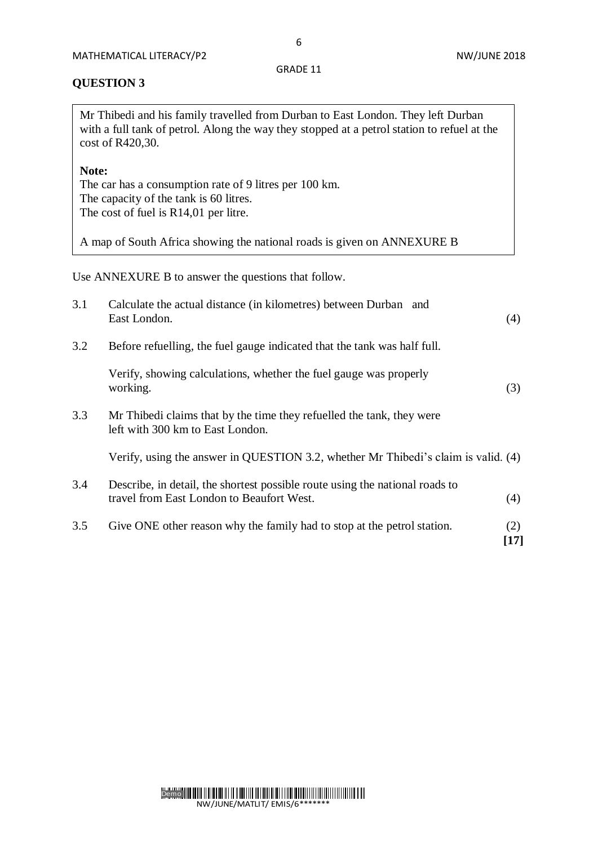# **QUESTION 3**

Mr Thibedi and his family travelled from Durban to East London. They left Durban with a full tank of petrol. Along the way they stopped at a petrol station to refuel at the cost of R420,30.

# **Note:**

The car has a consumption rate of 9 litres per 100 km. The capacity of the tank is 60 litres. The cost of fuel is R14,01 per litre.

A map of South Africa showing the national roads is given on ANNEXURE B

Use ANNEXURE B to answer the questions that follow.

| 3.1 | Calculate the actual distance (in kilometres) between Durban and<br>East London.                                          | (4)         |
|-----|---------------------------------------------------------------------------------------------------------------------------|-------------|
| 3.2 | Before refuelling, the fuel gauge indicated that the tank was half full.                                                  |             |
|     | Verify, showing calculations, whether the fuel gauge was properly<br>working.                                             | (3)         |
| 3.3 | Mr Thibedi claims that by the time they refuelled the tank, they were<br>left with 300 km to East London.                 |             |
|     | Verify, using the answer in QUESTION 3.2, whether Mr Thibedi's claim is valid. (4)                                        |             |
| 3.4 | Describe, in detail, the shortest possible route using the national roads to<br>travel from East London to Beaufort West. | (4)         |
| 3.5 | Give ONE other reason why the family had to stop at the petrol station.                                                   | (2)<br>[17] |

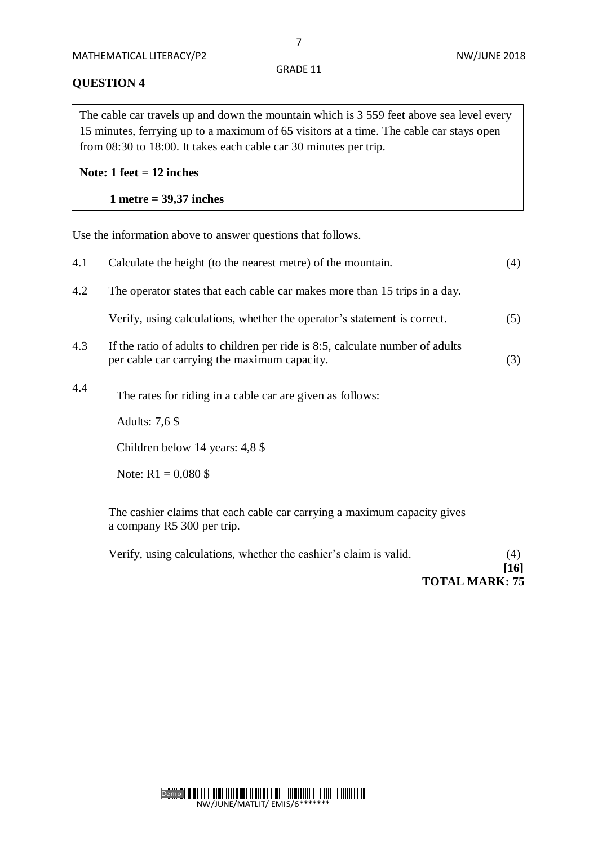#### **QUESTION 4**

The cable car travels up and down the mountain which is 3 559 feet above sea level every 15 minutes, ferrying up to a maximum of 65 visitors at a time. The cable car stays open from 08:30 to 18:00. It takes each cable car 30 minutes per trip.

# **Note: 1 feet = 12 inches**

 **1 metre = 39,37 inches**

Use the information above to answer questions that follows.

| 4.1 | Calculate the height (to the nearest metre) of the mountain.                                                                   | (4) |
|-----|--------------------------------------------------------------------------------------------------------------------------------|-----|
| 4.2 | The operator states that each cable car makes more than 15 trips in a day.                                                     |     |
|     | Verify, using calculations, whether the operator's statement is correct.                                                       | (5) |
| 4.3 | If the ratio of adults to children per ride is 8:5, calculate number of adults<br>per cable car carrying the maximum capacity. | (3) |
| 4.4 | The rates for riding in a cable car are given as follows:<br>Adults: 7,6 \$                                                    |     |

Children below 14 years: 4,8 \$

Note:  $R1 = 0,080$  \$

The cashier claims that each cable car carrying a maximum capacity gives a company R5 300 per trip.

Verify, using calculations, whether the cashier's claim is valid. (4)  **[16] TOTAL MARK: 75**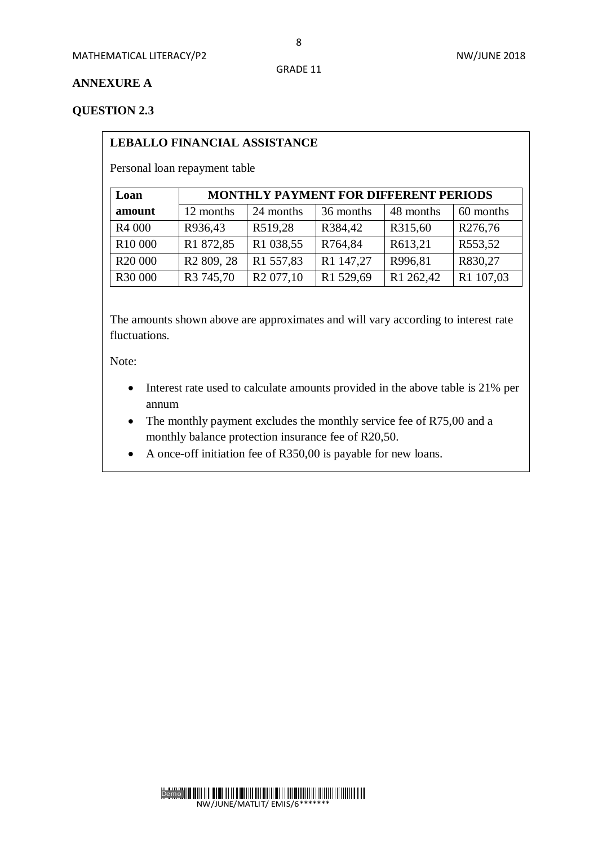# **ANNEXURE A**

# **QUESTION 2.3**

# **LEBALLO FINANCIAL ASSISTANCE**

Personal loan repayment table

| Loan                | <b>MONTHLY PAYMENT FOR DIFFERENT PERIODS</b> |                       |           |           |           |  |  |
|---------------------|----------------------------------------------|-----------------------|-----------|-----------|-----------|--|--|
| amount              | 12 months                                    | 24 months             | 36 months | 48 months | 60 months |  |  |
| R <sub>4</sub> 000  | R936,43                                      | R519,28               | R384,42   | R315,60   | R276,76   |  |  |
| R <sub>10</sub> 000 | R1 872,85                                    | R1 038,55             | R764,84   | R613,21   | R553,52   |  |  |
| R <sub>20</sub> 000 | R <sub>2</sub> 809, 28                       | R1 557,83             | R1 147,27 | R996,81   | R830,27   |  |  |
| R30 000             | R <sub>3</sub> 745,70                        | R <sub>2</sub> 077,10 | R1 529,69 | R1 262,42 | R1 107,03 |  |  |

The amounts shown above are approximates and will vary according to interest rate fluctuations.

Note:

- Interest rate used to calculate amounts provided in the above table is 21% per annum
- The monthly payment excludes the monthly service fee of R75,00 and a monthly balance protection insurance fee of R20,50.
- A once-off initiation fee of R350,00 is payable for new loans.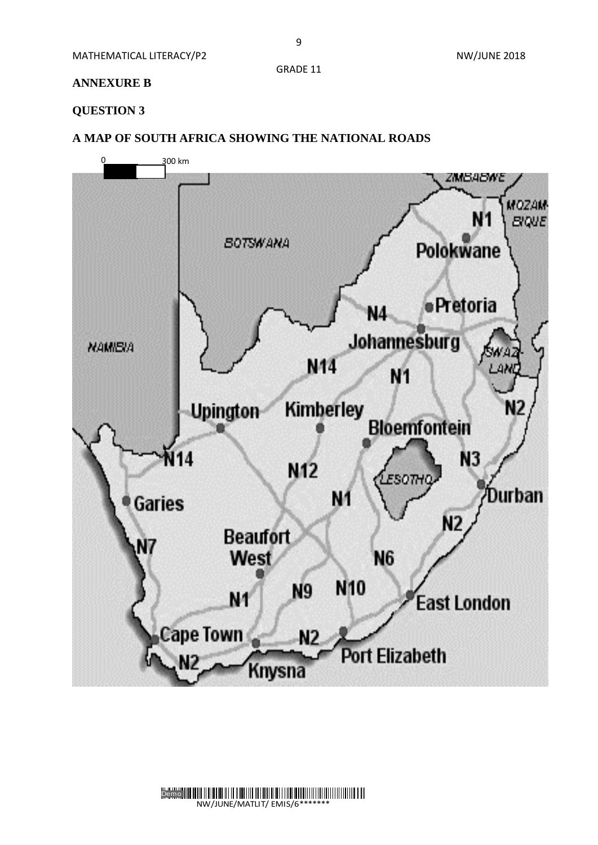MATHEMATICAL LITERACY/P2 NATHEMATICAL LITERACY/P2

# **ANNEXURE B**

# **QUESTION 3**

**A MAP OF SOUTH AFRICA SHOWING THE NATIONAL ROADS**



Demo NW/JUNE/MATLIT/ EMIS/6\*\*\*\*\*\*\*